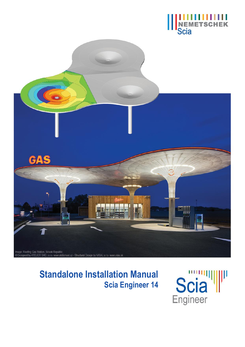



# **Standalone Installation Manual Scia Engineer 14**

**Scia**<sup>W</sup> Engineer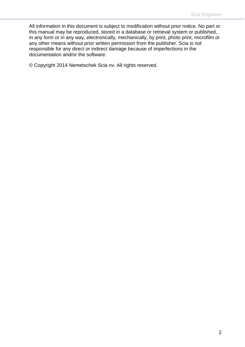All information in this document is subject to modification without prior notice. No part or this manual may be reproduced, stored in a database or retrieval system or published, in any form or in any way, electronically, mechanically, by print, photo print, microfilm or any other means without prior written permission from the publisher. Scia is not responsible for any direct or indirect damage because of imperfections in the documentation and/or the software.

© Copyright 2014 Nemetschek Scia nv. All rights reserved.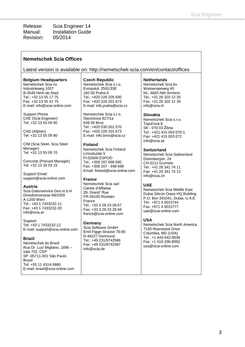Release: Scia Engineer 14 Manual: Installation Guide Revision: 05/2014

#### **Nemetschek Scia Offices**

Latest version is available on:<http://nemetschek-scia.com/en/contact/offices>

#### **Belgium Headquarters**

Nemetschek Scia nv Industrieweg 1007 B-3540 Herk-de-Stad Tel.: +32 13 55 17 75 Fax: +32 13 55 41 75 E-mail: info@scia-online.com

Support Phone CAE (Scia Engineer) Tel: +32 13 55 09 90

CAD (Allplan) Tel: +32 13 55 09 80

CIM (Scia Steel, Scia Steel Manager) Tel: +32 13 55 09 70

Concrete (Precast Manager) Tel: +32 13 35 03 15

Support Email: [support@scia-online.com](mailto:support@scia-online.com)

#### **Austria**

Scia Datenservice Ges.m.b.H Dresdnerstrasse 68/2/6/9 A-1200 Wien Tel.: +43 1 7433232-11 Fax: +43 1 7433232-20 info@scia.at

**Support** Tel: +43 1 7433232-12 E-mail: support@scia-online.com

#### **Brazil**

Nemetschek do Brasil Rua Dr. Luiz Migliano, 1896 – sala 702, CEP SP -05711-001 São Paulo Brasil Tel: +55 11 4314-5880 E-mail: brasil@scia-online.com

#### **Czech Republic**

Nemetschek Scia s.r.o. Evropská 2591/33E 160 00 Praha 6 Tel.: +420 226 205 600 Fax: +420 226 201 673 E-mail: info.praha@scia.cz

Nemetschek Scia s.r.o. Slavickova 827/1a 638 00 Brno Tel.: +420 530 501 570 Fax: +420 226 201 673 E-mail: info.brno@scia.cz

#### **Finland**

Nemetschek Scia Finland Linnoitustie 5 FI-02600 ESPOO Tel.: +358 207 698 600 Fax: +358 207 - 698 699 Email: [finland@scia-online.com](mailto:finland@scia-online.com)

#### **France**

Nemetschek Scia sarl Centre d'Affaires 29, Grand' Rue FR-59100 Roubaix France Tel.: +33 3.28.33.28.67 Fax: +33 3.28.33.28.69 [france@scia-online.com](mailto:france@scia-online.com)

#### **Germany**

Scia Software GmbH Emil-Figge-Strasse 76-80 D-44227 Dortmund Tel.: +49 231/9742586 Fax: +49 231/9742587 info@scia.de

#### **Netherlands**

Nemetschek Scia bv Wassenaarweg 40 NL- 6843 NW Arnhem Tel.: +31 26 320 12 30 Fax: +31 26 320 12 39 info@scia.nl

#### **Slovakia**

Nemetschek Scia s.r.o. Topol'ová 8 SK - 010 03 Žilina Tel.: +421 415 003 070-1 Fax: +421 415 003 072 info@scia.sk

#### **Switzerland**

Nemetschek Scia Switzerland Dürenbergstr. 24 CH-3212 Gurmels Tel.: +41 26 341 74 11 Fax: +41 26 341 74 13 info@scia.ch

#### **UAE**

Nemetschek Scia Middle East Dubai Silicon Oasis HQ Building P.O. Box 341041, Dubai, U.A.E. Tel.: +971 4 5015744 Fax: +971 4 5015777 uae@scia-online.com

#### **USA**

Nemetschek Scia North America 7150 Riverwood Drive Columbia, MD (USA) Tel.: +1 443-542-0638 Fax: +1 410-290-8050 usa@scia-online.com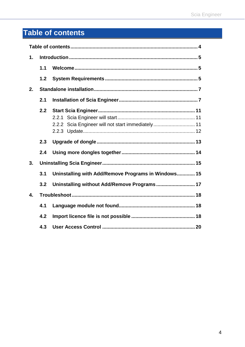# <span id="page-3-0"></span>**Table of contents**

| $\mathbf 1$ .    |     |                                                     |  |  |  |
|------------------|-----|-----------------------------------------------------|--|--|--|
|                  | 1.1 |                                                     |  |  |  |
|                  | 1.2 |                                                     |  |  |  |
| 2.               |     |                                                     |  |  |  |
|                  |     |                                                     |  |  |  |
|                  | 2.2 | 2.2.2 Scia Engineer will not start immediately 11   |  |  |  |
|                  | 2.3 |                                                     |  |  |  |
|                  | 2.4 |                                                     |  |  |  |
| 3.               |     |                                                     |  |  |  |
|                  | 3.1 | Uninstalling with Add/Remove Programs in Windows 15 |  |  |  |
|                  | 3.2 | Uninstalling without Add/Remove Programs 17         |  |  |  |
| $\overline{4}$ . |     |                                                     |  |  |  |
|                  | 4.1 |                                                     |  |  |  |
|                  | 4.2 |                                                     |  |  |  |
|                  | 4.3 |                                                     |  |  |  |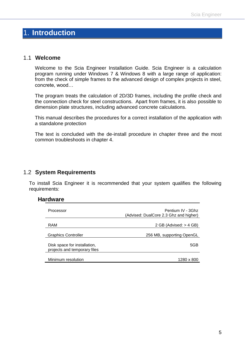## <span id="page-4-0"></span>1. **Introduction**

### <span id="page-4-1"></span>1.1 **Welcome**

Welcome to the Scia Engineer Installation Guide. Scia Engineer is a calculation program running under Windows 7 & Windows 8 with a large range of application: from the check of simple frames to the advanced design of complex projects in steel, concrete, wood…

The program treats the calculation of 2D/3D frames, including the profile check and the connection check for steel constructions. Apart from frames, it is also possible to dimension plate structures, including advanced concrete calculations.

This manual describes the procedures for a correct installation of the application with a standalone protection

The text is concluded with the de-install procedure in chapter three and the most common troubleshoots in chapter 4.

### <span id="page-4-2"></span>1.2 **System Requirements**

To install Scia Engineer it is recommended that your system qualifies the following requirements:

#### **Hardware**

| Processor                                                    | Pentium IV - 3Ghz<br>(Advised: DualCore 2.3 Ghz and higher) |
|--------------------------------------------------------------|-------------------------------------------------------------|
| RAM                                                          | 2 GB (Advised: $>$ 4 GB)                                    |
| <b>Graphics Controller</b>                                   | 256 MB, supporting OpenGL                                   |
| Disk space for installation,<br>projects and temporary files | 5GB                                                         |
| Minimum resolution                                           | 1280 x 800                                                  |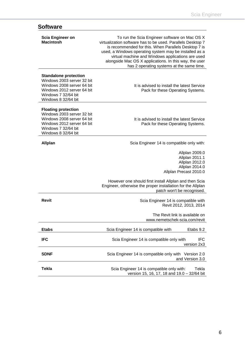# **Software**

| <b>Scia Engineer on</b><br><b>Macintosh</b>                                                                                                                          | To run the Scia Engineer software on Mac OS X<br>virtualization software has to be used. Parallels Desktop 7<br>is recommended for this. When Parallels Desktop 7 is<br>used, a Windows operating system may be installed as a<br>virtual machine and Windows applications are used<br>alongside Mac OS X applications. In this way, the user<br>has 2 operating systems at the same time. |
|----------------------------------------------------------------------------------------------------------------------------------------------------------------------|--------------------------------------------------------------------------------------------------------------------------------------------------------------------------------------------------------------------------------------------------------------------------------------------------------------------------------------------------------------------------------------------|
| <b>Standalone protection</b><br>Windows 2003 server 32 bit<br>Windows 2008 server 64 bit<br>Windows 2012 server 64 bit<br>Windows 7 32/64 bit<br>Windows 8 32/64 bit | It is advised to install the latest Service<br>Pack for these Operating Systems.                                                                                                                                                                                                                                                                                                           |
| <b>Floating protection</b><br>Windows 2003 server 32 bit<br>Windows 2008 server 64 bit<br>Windows 2012 server 64 bit<br>Windows 7 32/64 bit<br>Windows 8 32/64 bit   | It is advised to install the latest Service<br>Pack for these Operating Systems.                                                                                                                                                                                                                                                                                                           |
| <b>Allplan</b>                                                                                                                                                       | Scia Engineer 14 is compatible only with:                                                                                                                                                                                                                                                                                                                                                  |
|                                                                                                                                                                      | Allplan 2009.0<br>Allplan 2011.1<br>Allplan 2012.0<br>Allplan 2014.0<br>Allplan Precast 2010.0                                                                                                                                                                                                                                                                                             |
|                                                                                                                                                                      | However one should first install Allplan and then Scia<br>Engineer, otherwise the proper installation for the Allplan<br>patch won't be recognised.                                                                                                                                                                                                                                        |
| <b>Revit</b>                                                                                                                                                         | Scia Engineer 14 is compatible with<br>Revit 2012, 2013, 2014                                                                                                                                                                                                                                                                                                                              |
|                                                                                                                                                                      | The Revit link is available on<br>www.nemetschek-scia.com/revit                                                                                                                                                                                                                                                                                                                            |
| <b>Etabs</b>                                                                                                                                                         | Scia Engineer 14 is compatible with<br>Etabs 9.2                                                                                                                                                                                                                                                                                                                                           |
| <b>IFC</b>                                                                                                                                                           | Scia Engineer 14 is compatible only with<br><b>IFC</b><br>version 2x3                                                                                                                                                                                                                                                                                                                      |
| <b>SDNF</b>                                                                                                                                                          | Scia Engineer 14 is compatible only with Version 2.0<br>and Version 3.0                                                                                                                                                                                                                                                                                                                    |
| <b>Tekla</b>                                                                                                                                                         | Scia Engineer 14 is compatible only with:<br>Tekla<br>version 15, 16, 17, 18 and 19.0 - 32/64 bit                                                                                                                                                                                                                                                                                          |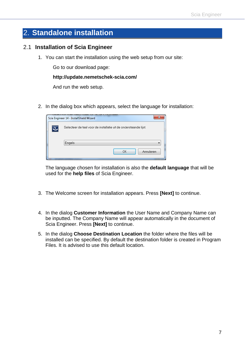# <span id="page-6-0"></span>2. **Standalone installation**

### <span id="page-6-1"></span>2.1 **Installation of Scia Engineer**

1. You can start the installation using the web setup from our site:

Go to our download page:

#### **[http://update.nemetschek-sc](ttp://nemetschek-s/)ia.com/**

And run the web setup.

2. In the dialog box which appears, select the language for installation:

| x<br>Scia Engineer 14 - InstallShield Wizard                     |
|------------------------------------------------------------------|
| Selecteer de taal voor de installatie uit de onderstaande lijst. |
| Engels<br>Annuleren<br>OK                                        |
|                                                                  |

The language chosen for installation is also the **default language** that will be used for the **help files** of Scia Engineer.

- 3. The Welcome screen for installation appears. Press **[Next]** to continue.
- 4. In the dialog **Customer Information** the User Name and Company Name can be inputted. The Company Name will appear automatically in the document of Scia Engineer. Press **[Next]** to continue.
- 5. In the dialog **Choose Destination Location** the folder where the files will be installed can be specified. By default the destination folder is created in Program Files. It is advised to use this default location.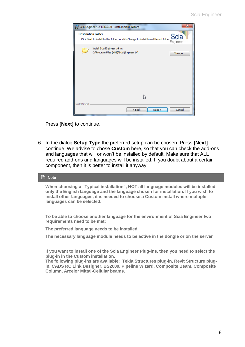

Press **[Next]** to continue.

6. In the dialog **Setup Type** the preferred setup can be chosen. Press **[Next]** continue. We advise to chose **Custom** here, so that you can check the add-ons and languages that will or won't be installed by default. Make sure that ALL required add-ons and languages will be installed. If you doubt about a certain component, then it is better to install it anyway.

#### **Note**

**When choosing a "Typical installation", NOT all language modules will be installed, only the English language and the language chosen for installation. If you wish to install other languages, it is needed to choose a Custom install where multiple languages can be selected.**

**To be able to choose another language for the environment of Scia Engineer two requirements need to be met:**

**The preferred language needs to be installed**

**The necessary language module needs to be active in the dongle or on the server**

**If you want to install one of the Scia Engineer Plug-ins, then you need to select the plug-in in the Custom installation.**

**The following plug-ins are available: Tekla Structures plug-in, Revit Structure plugin, CADS RC Link Designer, BS2000, Pipeline Wizard, Composite Beam, Composite Column, Arcelor Mittal-Cellular beams.**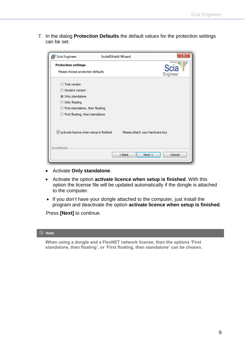7. In the dialog **Protection Defaults** the default values for the protection settings can be set.

| Scia Engineer                                                                                                                                       | $\overline{\mathbf{x}}$<br><b>InstallShield Wizard</b>                    |
|-----------------------------------------------------------------------------------------------------------------------------------------------------|---------------------------------------------------------------------------|
| <b>Protection settings</b><br>Please choose protection defaults                                                                                     | Scia<br>Engineer                                                          |
| <b>Trial version</b><br>Student version<br>O Only standalone<br>Only floating<br>First standalone, then floating<br>First floating, then standalone |                                                                           |
| <b>InstallShield</b>                                                                                                                                | V activate licence when setup is finished Please attach your hardware key |
|                                                                                                                                                     | < Back<br>Next<br>Cancel                                                  |

- Activate **Only standalone**.
- Activate the option **activate licence when setup is finished**. With this option the license file will be updated automatically if the dongle is attached to the computer.
- If you don't have your dongle attached to the computer, just install the program and deactivate the option **activate licence when setup is finished**.

Press **[Next]** to continue.

#### **Note**

**When using a dongle and a FlexNET network license, then the options 'First standalone, then floating', or 'First floating, then standalone' can be chosen.**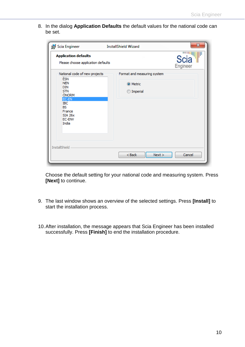8. In the dialog **Application Defaults** the default values for the national code can be set.

| is Scia Engineer                                                                                                                   | $\mathbf{x}$<br><b>InstallShield Wizard</b> |
|------------------------------------------------------------------------------------------------------------------------------------|---------------------------------------------|
| <b>Application defaults</b><br>Please choose application defaults                                                                  | Scia <sup>"</sup><br>Engineer               |
| National code of new projects                                                                                                      | Format and measuring system                 |
| ÈSN<br><b>NEN</b><br>DIN<br><b>STN</b><br>ÖNORM<br>EC-EN<br><b>IBC</b><br><b>BS</b><br>France<br><b>SIA 26x</b><br>EC-ENV<br>India | O Metric<br><b>Imperial</b>                 |
| InstallShield                                                                                                                      | Cancel<br>$Back$<br>Next                    |

Choose the default setting for your national code and measuring system. Press **[Next]** to continue.

- 9. The last window shows an overview of the selected settings. Press **[Install]** to start the installation process.
- 10.After installation, the message appears that Scia Engineer has been installed successfully. Press **[Finish]** to end the installation procedure.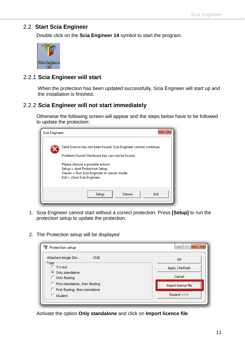### <span id="page-10-0"></span>2.2 **Start Scia Engineer**

Double click on the **Scia Engineer 14** symbol to start the program.



### <span id="page-10-1"></span>2.2.1 **Scia Engineer will start**

When the protection has been updated successfully, Scia Engineer will start up and the installation is finished.

### <span id="page-10-2"></span>2.2.2 **Scia Engineer will not start immediately**

Otherwise the following screen will appear and the steps below have to be followed to update the protection:

| Scia Engineer                                 | x                                                                                                                                              |  |  |  |  |  |
|-----------------------------------------------|------------------------------------------------------------------------------------------------------------------------------------------------|--|--|--|--|--|
|                                               | Valid licence has not been found. Scia Engineer cannot continue.                                                                               |  |  |  |  |  |
| Problem found: Hardware key can not be found. |                                                                                                                                                |  |  |  |  |  |
|                                               | Please choose a possible action:<br>Setup = start Protection Setup<br>Viewer = Run Scia Engineer in viewer mode<br>Exit = close Scia Engineer. |  |  |  |  |  |
|                                               | Viewer<br>Setup<br>Exit                                                                                                                        |  |  |  |  |  |

- 1. Scia Engineer cannot start without a correct protection. Press **[Setup]** to run the protection setup to update the protection.
- 2. The Protection setup will be displayed

| Protection setup                                                       | x<br>ie.            |
|------------------------------------------------------------------------|---------------------|
| Attached dongle IDs:<br>1538                                           | OK                  |
| Type<br><b>C</b> Try-out                                               | Apply / Refresh     |
| C Only standalone<br>C Only floating                                   | Cancel              |
| C First standalone, then floating<br>C First floating, then standalone | Import licence file |
| C Student                                                              | Expand >>>          |
|                                                                        |                     |

Activate the option **Only standalone** and click on **Import licence file**.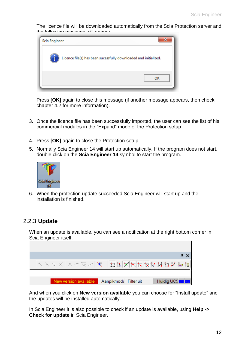The licence file will be downloaded automatically from the Scia Protection server and the following message will appear



Press **[OK]** again to close this message (if another message appears, then check chapter 4.2 for more information).

- 3. Once the licence file has been successfully imported, the user can see the list of his commercial modules in the "Expand" mode of the Protection setup.
- 4. Press **[OK]** again to close the Protection setup.
- 5. Normally Scia Engineer 14 will start up automatically. If the program does not start, double click on the **Scia Engineer 14** symbol to start the program.



6. When the protection update succeeded Scia Engineer will start up and the installation is finished.

### <span id="page-11-0"></span>2.2.3 **Update**

When an update is available, you can see a notification at the right bottom corner in Scia Engineer itself:



And when you click on **New version available** you can choose for "Install update" and the updates will be installed automatically.

In Scia Engineer it is also possible to check if an update is available, using **Help -> Check for update** in Scia Engineer.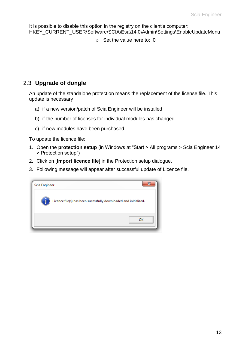It is possible to disable this option in the registry on the client's computer: HKEY\_CURRENT\_USER\Software\SCIA\Esa\14.0\Admin\Settings\EnableUpdateMenu

o Set the value here to: 0

### <span id="page-12-0"></span>2.3 **Upgrade of dongle**

An update of the standalone protection means the replacement of the license file. This update is necessary

- a) if a new version/patch of Scia Engineer will be installed
- b) if the number of licenses for individual modules has changed
- c) if new modules have been purchased

To update the licence file:

- 1. Open the **protection setup** (in Windows at "Start > All programs > Scia Engineer 14 > Protection setup")
- 2. Click on [**Import licence file**] in the Protection setup dialogue.
- 3. Following message will appear after successful update of Licence file.

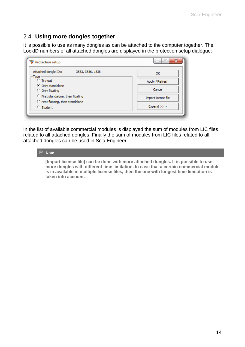### <span id="page-13-0"></span>2.4 **Using more dongles together**

It is possible to use as many dongles as can be attached to the computer together. The LockID numbers of all attached dongles are displayed in the protection setup dialogue:

| Attached dongle IDs:<br>3553, 3556, 1538             | OK                  |  |  |
|------------------------------------------------------|---------------------|--|--|
| Type<br><b>C</b> Try-out                             | Apply / Refresh     |  |  |
| C Only standalone<br>C Only floating                 | Cancel              |  |  |
| C First standalone, then floating                    | Import licence file |  |  |
| C First floating, then standalone<br>$\circ$ Student | Expand >>>          |  |  |

In the list of available commercial modules is displayed the sum of modules from LIC files related to all attached dongles. Finally the sum of modules from LIC files related to all attached dongles can be used in Scia Engineer.

#### **Note**

**[Import licence file] can be done with more attached dongles. It is possible to use more dongles with different time limitation. In case that a certain commercial module is in available in multiple license files, then the one with longest time limitation is taken into account.**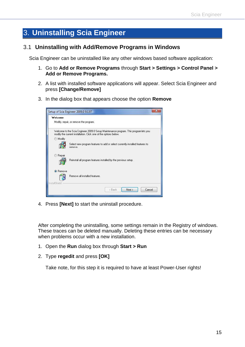# <span id="page-14-0"></span>3. **Uninstalling Scia Engineer**

### <span id="page-14-1"></span>3.1 **Uninstalling with Add/Remove Programs in Windows**

Scia Engineer can be uninstalled like any other windows based software application:

- 1. Go to **Add or Remove Programs** through **Start > Settings > Control Panel > Add or Remove Programs.**
- 2. A list with installed software applications will appear. Select Scia Engineer and press **[Change/Remove]**
- 3. In the dialog box that appears choose the option **Remove**

| Welcome         |                                                                                                                                                          |  |  |  |  |  |
|-----------------|----------------------------------------------------------------------------------------------------------------------------------------------------------|--|--|--|--|--|
|                 | Modify, repair, or remove the program.                                                                                                                   |  |  |  |  |  |
|                 | Welcome to the Scia Engineer 2009.0 Setup Maintenance program. This program lets you<br>modify the current installation. Click one of the options below. |  |  |  |  |  |
| Modify<br>O)    |                                                                                                                                                          |  |  |  |  |  |
|                 | Select new program features to add or select currently installed features to<br>remove.                                                                  |  |  |  |  |  |
| Repair          | Reinstall all program features installed by the previous setup.                                                                                          |  |  |  |  |  |
|                 |                                                                                                                                                          |  |  |  |  |  |
| <b>O</b> Remove |                                                                                                                                                          |  |  |  |  |  |
|                 | Remove all installed features.                                                                                                                           |  |  |  |  |  |
| InstallShield   |                                                                                                                                                          |  |  |  |  |  |

4. Press **[Next]** to start the uninstall procedure.

After completing the uninstalling, some settings remain in the Registry of windows. These traces can be deleted manually. Deleting these entries can be necessary when problems occur with a new installation.

- 1. Open the **Run** dialog box through **Start > Run**
- 2. Type **regedit** and press **[OK]**

Take note, for this step it is required to have at least Power-User rights!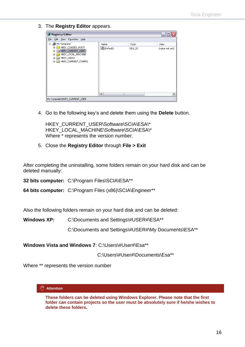3. The **Registry Editor** appears.

| Registry Editor                                                          |                      |                | e.                      |
|--------------------------------------------------------------------------|----------------------|----------------|-------------------------|
| File Edit View Favorites Help                                            |                      |                |                         |
| <b>鳳</b> My Computer<br>Θ<br>HKEY_CLASSES_ROOT<br>HKEY_CURRENT_USER<br>Œ | Name<br>ed (Default) | Type<br>REG_SZ | Data<br>(value not set) |
| HKEY_LOCAL_MACHINE<br>⊞<br>HKEY_USERS<br>œ.<br>HKEY_CURRENT_CONFIG<br>Đ  |                      |                |                         |
|                                                                          | ≺                    | Ш              | ≯                       |
| My Computer\HKEY_CURRENT_USER                                            |                      |                | æП                      |

4. Go to the following key's and delete them using the **Delete** button.

HKEY\_CURRENT\_USER\Software\SCIA\ESA\\* HKEY\_LOCAL\_MACHINE\Software\SCIA\ESA\\* Where \* represents the version number.

5. Close the **Registry Editor** through **File > Exit**

After completing the uninstalling, some folders remain on your hard disk and can be deleted manually:

**32 bits computer:** C:\Program Files\SCIA\ESA\*\*

**64 bits computer:** C:\Program Files (x86)\SCIA\Engineer\*\*

Also the following folders remain on your hard disk and can be deleted:

Windows XP: C:\Documents and Settings\#USER#\ESA\*\*

C:\Documents and Settings\#USER#\My Documents\ESA\*\*

**Windows Vista and Windows 7**: C:\Users\#User#\Esa\*\*

C:\Users\#User#\Documents\Esa\*\*

Where \*\* represents the version number

#### **Attention**

**These folders can be deleted using Windows Explorer. Please note that the first folder can contain projects so the user must be absolutely sure if he/she wishes to delete these folders.**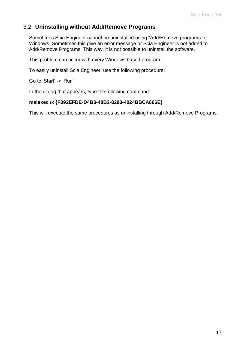### <span id="page-16-0"></span>3.2 **Uninstalling without Add/Remove Programs**

Sometimes Scia Engineer cannot be uninstalled using "Add/Remove programs" of Windows. Sometimes this give an error message or Scia Engineer is not added to Add/Remove Programs. This way, it is not possible to uninstall the software.

This problem can occur with every Windows based program.

To easily uninstall Scia Engineer, use the following procedure:

Go to 'Start' -> 'Run'

In the dialog that appears, type the following command:

#### **msiexec /x {F892EFDE-D4B3-48B2-8293-4024BBCA666E}**

This will execute the same procedures as uninstalling through Add/Remove Programs.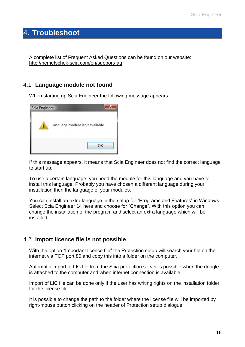## <span id="page-17-0"></span>4. **Troubleshoot**

A complete list of Frequent Asked Questions can be found on our website: <http://nemetschek-scia.com/en/support/faq>

### <span id="page-17-1"></span>4.1 **Language module not found**

When starting up Scia Engineer the following message appears:



If this message appears, it means that Scia Engineer does not find the correct language to start up.

To use a certain language, you need the module for this language and you have to install this language. Probably you have chosen a different language during your installation then the language of your modules.

You can install an extra language in the setup for "Programs and Features" in Windows. Select Scia Engineer 14 here and choose for "Change". With this option you can change the installation of the program and select an extra language which will be installed.

### <span id="page-17-2"></span>4.2 **Import licence file is not possible**

With the option "Important licence file" the Protection setup will search your file on the internet via TCP port 80 and copy this into a folder on the computer.

Automatic import of LIC file from the Scia protection server is possible when the dongle is attached to the computer and when internet connection is available.

Import of LIC file can be done only if the user has writing rights on the installation folder for the license file.

It is possible to change the path to the folder where the license file will be imported by right-mouse button clicking on the header of Protection setup dialogue: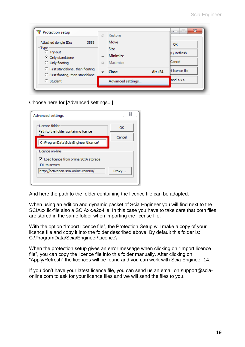| Protection setup<br>Attached dongle IDs:<br>3553<br>-Type ·<br>C Try-out<br>C Only standalone<br>C Only floating<br>C First standalone, then floating | 司<br>$\Box$<br>$\mathbf x$ | Restore<br>Move<br><b>Size</b><br>Minimize<br>Maximize<br>Close | $Alt + F4$ | OK<br>y / Refresh<br>Cancel<br>rt licence file |
|-------------------------------------------------------------------------------------------------------------------------------------------------------|----------------------------|-----------------------------------------------------------------|------------|------------------------------------------------|
| C First floating, then standalone<br>$\bigcirc$ Student                                                                                               |                            | Advanced settings                                               |            | and $>>$                                       |

Choose here for [Advanced settings...]

| Advanced settings                                                               | Σζ           |
|---------------------------------------------------------------------------------|--------------|
| Licence folder<br>Path to the folder containing licence<br>files.               | OK<br>Cancel |
| C:\ProgramData\Scia\Engineer\Licence\                                           |              |
| Licence on-line                                                                 |              |
| $\overline{\mathsf{v}}$ Load licence from online SCIA storage<br>URL to server: |              |
| http://activation.scia-online.com:80/                                           | Proxy        |
|                                                                                 |              |

And here the path to the folder containing the licence file can be adapted.

When using an edition and dynamic packet of Scia Engineer you will find next to the SCIAxx.lic-file also a SCIAxx.e2c-file. In this case you have to take care that both files are stored in the same folder when importing the license file.

With the option "Import licence file", the Protection Setup will make a copy of your licence file and copy it into the folder described above. By default this folder is: C:\ProgramData\Scia\Engineer\Licence\

When the protection setup gives an error message when clicking on "Import licence file", you can copy the licence file into this folder manually. After clicking on "Apply/Refresh" the licences will be found and you can work with Scia Engineer 14.

If you don't have your latest licence file, you can send us an email on [support@scia](mailto:support@scia-online.com)[online.com](mailto:support@scia-online.com) to ask for your licence files and we will send the files to you.